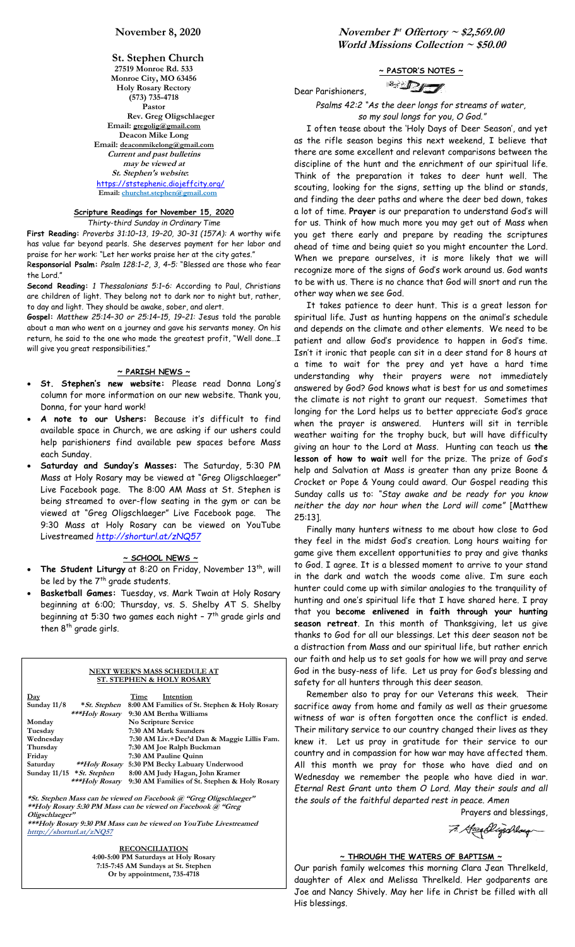**St. Stephen Church 27519 Monroe Rd. 533 Monroe City, MO 63456 Holy Rosary Rectory (573) 735-4718 Pastor Rev. Greg Oligschlaeger Email: gregolig@gmail.com Deacon Mike Long Email: deaconmikelong@gmail.com Current and past bulletins may be viewed at St. Stephen's website:** <https://ststephenic.diojeffcity.org/>  **Email: [churchst.stephen@gmail.com](mailto:churchst.stephen@gmail.com)**

# **Scripture Readings for November 15, 2020**

*Thirty-third Sunday in Ordinary Time*

**First Reading:** *Proverbs 31:10–13, 19–20, 30–31 (157A):* A worthy wife has value far beyond pearls. She deserves payment for her labor and praise for her work: "Let her works praise her at the city gates." R**esponsorial Psalm:** *Psalm 128:1–2, 3, 4–5:* "Blessed are those who fear the Lord."

**Second Reading:** *1 Thessalonians 5:1–6:* According to Paul, Christians are children of light. They belong not to dark nor to night but, rather, to day and light. They should be awake, sober, and alert.

**Gospel:** *Matthew 25:14–30 or 25:14–15, 19–21:* Jesus told the parable about a man who went on a journey and gave his servants money. On his return, he said to the one who made the greatest profit, "Well done…I will give you great responsibilities."

## **~ PARISH NEWS ~**

- **St. Stephen's new website:** Please read Donna Long's column for more information on our new website. Thank you, Donna, for your hard work!
- **A note to our Ushers:** Because it's difficult to find available space in Church, we are asking if our ushers could help parishioners find available pew spaces before Mass each Sunday.
- **Saturday and Sunday's Masses:** The Saturday, 5:30 PM Mass at Holy Rosary may be viewed at "Greg Oligschlaeger" Live Facebook page. The 8:00 AM Mass at St. Stephen is being streamed to over-flow seating in the gym or can be viewed at "Greg Oligschlaeger" Live Facebook page. The 9:30 Mass at Holy Rosary can be viewed on YouTube Livestreamed *<http://shorturl.at/zNQ57>*

## **~ SCHOOL NEWS ~**

- The Student Liturgy at 8:20 on Friday, November 13<sup>th</sup>, will be led by the 7<sup>th</sup> grade students.
- **Basketball Games:** Tuesday, vs. Mark Twain at Holy Rosary beginning at 6:00; Thursday, vs. S. Shelby AT S. Shelby beginning at 5:30 two games each night – 7 th grade girls and then 8<sup>th</sup> grade girls.

## **NEXT WEEK'S MASS SCHEDULE AT ST. STEPHEN & HOLY ROSARY**

| Day                                                                |                              | Time<br>Intention                             |  |  |
|--------------------------------------------------------------------|------------------------------|-----------------------------------------------|--|--|
| Sunday $11/8$                                                      | * St. Stephen                | 8:00 AM Families of St. Stephen & Holy Rosary |  |  |
|                                                                    | ***Holy Rosary               | 9:30 AM Bertha Williams                       |  |  |
| Monday                                                             |                              | No Scripture Service                          |  |  |
| Tuesday                                                            |                              | 7:30 AM Mark Saunders                         |  |  |
| Wednesday                                                          |                              | 7:30 AM Liv.+Dec'd Dan & Maggie Lillis Fam.   |  |  |
| Thursday                                                           |                              | 7:30 AM Joe Ralph Buckman                     |  |  |
| Friday                                                             |                              | 7:30 AM Pauline Quinn                         |  |  |
| Saturday                                                           | <i>**Holy Rosary</i>         | 5:30 PM Becky Labuary Underwood               |  |  |
|                                                                    | Sunday $11/15$ * St. Stephen | 8:00 AM Judy Hagan, John Kramer               |  |  |
|                                                                    | ***Holy Rosary               | 9:30 AM Families of St. Stephen & Holy Rosary |  |  |
|                                                                    |                              |                                               |  |  |
| *St. Stephen Mass can be viewed on Facebook @ "Greg Oligschlaeger" |                              |                                               |  |  |

 $\tan$  be viewed on Facebook @  $^{\circ}$ **Oligschlaeger" \*\*\*Holy Rosary 9:30 PM Mass can be viewed on YouTube Livestreamed**

**htttp://shorturl.at/zNQ57** 

**RECONCILIATION 4:00-5:00 PM Saturdays at Holy Rosary 7:15-7:45 AM Sundays at St. Stephen Or by appointment, 735-4718**

**November 1 st Offertory ~ \$2,569.00 World Missions Collection ~ \$50.00**

# **~ PASTOR'S NOTES ~**

 $\mathbb{Z}$ 

Dear Parishioners,

*Psalms 42:2 "As the deer longs for streams of water, so my soul longs for you, O God."*

 I often tease about the 'Holy Days of Deer Season', and yet as the rifle season begins this next weekend, I believe that there are some excellent and relevant comparisons between the discipline of the hunt and the enrichment of our spiritual life. Think of the preparation it takes to deer hunt well. The scouting, looking for the signs, setting up the blind or stands, and finding the deer paths and where the deer bed down, takes a lot of time. **Prayer** is our preparation to understand God's will for us. Think of how much more you may get out of Mass when you get there early and prepare by reading the scriptures ahead of time and being quiet so you might encounter the Lord. When we prepare ourselves, it is more likely that we will recognize more of the signs of God's work around us. God wants to be with us. There is no chance that God will snort and run the other way when we see God.

 It takes patience to deer hunt. This is a great lesson for spiritual life. Just as hunting happens on the animal's schedule and depends on the climate and other elements. We need to be patient and allow God's providence to happen in God's time. Isn't it ironic that people can sit in a deer stand for 8 hours at a time to wait for the prey and yet have a hard time understanding why their prayers were not immediately answered by God? God knows what is best for us and sometimes the climate is not right to grant our request. Sometimes that longing for the Lord helps us to better appreciate God's grace when the prayer is answered. Hunters will sit in terrible weather waiting for the trophy buck, but will have difficulty giving an hour to the Lord at Mass. Hunting can teach us **the lesson of how to wait** well for the prize. The prize of God's help and Salvation at Mass is greater than any prize Boone & Crocket or Pope & Young could award. Our Gospel reading this Sunday calls us to: *"Stay awake and be ready for you know neither the day nor hour when the Lord will come"* [Matthew 25:13].

 Finally many hunters witness to me about how close to God they feel in the midst God's creation. Long hours waiting for game give them excellent opportunities to pray and give thanks to God. I agree. It is a blessed moment to arrive to your stand in the dark and watch the woods come alive. I'm sure each hunter could come up with similar analogies to the tranquility of hunting and one's spiritual life that I have shared here. I pray that you **become enlivened in faith through your hunting season retreat**. In this month of Thanksgiving, let us give thanks to God for all our blessings. Let this deer season not be a distraction from Mass and our spiritual life, but rather enrich our faith and help us to set goals for how we will pray and serve God in the busy-ness of life. Let us pray for God's blessing and safety for all hunters through this deer season.

 Remember also to pray for our Veterans this week. Their sacrifice away from home and family as well as their gruesome witness of war is often forgotten once the conflict is ended. Their military service to our country changed their lives as they knew it. Let us pray in gratitude for their service to our country and in compassion for how war may have affected them. All this month we pray for those who have died and on Wednesday we remember the people who have died in war. *Eternal Rest Grant unto them O Lord. May their souls and all the souls of the faithful departed rest in peace. Amen*

Prayers and blessings,

7. Gazablijschlaug

# **~ THROUGH THE WATERS OF BAPTISM ~**

Our parish family welcomes this morning Clara Jean Threlkeld, daughter of Alex and Melissa Threlkeld. Her godparents are Joe and Nancy Shively. May her life in Christ be filled with all His blessings.